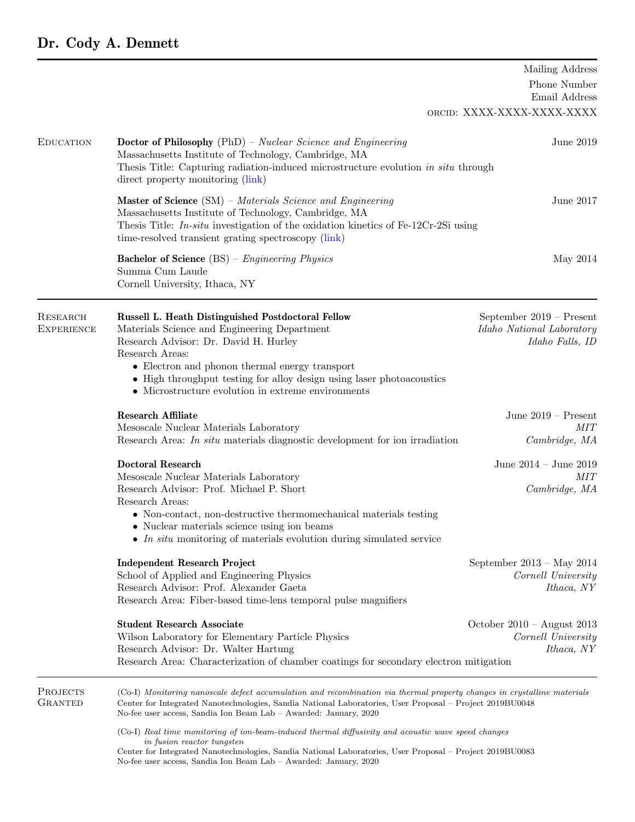## Dr. Cody A. Dennett

|                                      | Mailing Address                                                                                                                                                                                                                                                                                                                                                                                                                                                                                                                                          |                                                                          |  |
|--------------------------------------|----------------------------------------------------------------------------------------------------------------------------------------------------------------------------------------------------------------------------------------------------------------------------------------------------------------------------------------------------------------------------------------------------------------------------------------------------------------------------------------------------------------------------------------------------------|--------------------------------------------------------------------------|--|
|                                      |                                                                                                                                                                                                                                                                                                                                                                                                                                                                                                                                                          | Phone Number<br>Email Address                                            |  |
|                                      |                                                                                                                                                                                                                                                                                                                                                                                                                                                                                                                                                          | ORCID: XXXX-XXXX-XXXX-XXXX                                               |  |
| <b>EDUCATION</b>                     | <b>Doctor of Philosophy</b> (PhD) - Nuclear Science and Engineering<br>Massachusetts Institute of Technology, Cambridge, MA<br>Thesis Title: Capturing radiation-induced microstructure evolution in situ through<br>direct property monitoring (link)                                                                                                                                                                                                                                                                                                   | June 2019                                                                |  |
|                                      | <b>Master of Science</b> $(SM)$ – Materials Science and Engineering<br>Massachusetts Institute of Technology, Cambridge, MA<br>Thesis Title: $In-situ$ investigation of the oxidation kinetics of Fe-12Cr-2Si using<br>time-resolved transient grating spectroscopy (link)                                                                                                                                                                                                                                                                               | June 2017                                                                |  |
|                                      | <b>Bachelor of Science</b> $(BS)$ – <i>Engineering Physics</i><br>Summa Cum Laude<br>Cornell University, Ithaca, NY                                                                                                                                                                                                                                                                                                                                                                                                                                      | May 2014                                                                 |  |
| <b>RESEARCH</b><br><b>EXPERIENCE</b> | Russell L. Heath Distinguished Postdoctoral Fellow<br>Materials Science and Engineering Department<br>Research Advisor: Dr. David H. Hurley<br>Research Areas:<br>• Electron and phonon thermal energy transport<br>• High throughput testing for alloy design using laser photoacoustics<br>$\bullet$ Microstructure evolution in extreme environments                                                                                                                                                                                                  | September 2019 - Present<br>Idaho National Laboratory<br>Idaho Falls, ID |  |
|                                      | <b>Research Affiliate</b><br>Mesoscale Nuclear Materials Laboratory                                                                                                                                                                                                                                                                                                                                                                                                                                                                                      | June $2019$ – Present<br>MIT                                             |  |
|                                      | Research Area: In situ materials diagnostic development for ion irradiation                                                                                                                                                                                                                                                                                                                                                                                                                                                                              | Cambridge, MA                                                            |  |
|                                      | <b>Doctoral Research</b><br>Mesoscale Nuclear Materials Laboratory<br>Research Advisor: Prof. Michael P. Short<br>Research Areas:<br>• Non-contact, non-destructive thermomechanical materials testing<br>Nuclear materials science using ion beams<br>• In situ monitoring of materials evolution during simulated service                                                                                                                                                                                                                              | June $2014$ – June $2019$<br>MIT<br>Cambridge, MA                        |  |
|                                      | <b>Independent Research Project</b><br>School of Applied and Engineering Physics<br>Research Advisor: Prof. Alexander Gaeta<br>Research Area: Fiber-based time-lens temporal pulse magnifiers                                                                                                                                                                                                                                                                                                                                                            | September $2013 - May 2014$<br>Cornell University<br>Ithaca, NY          |  |
|                                      | <b>Student Research Associate</b><br>Wilson Laboratory for Elementary Particle Physics<br>Research Advisor: Dr. Walter Hartung<br>Research Area: Characterization of chamber coatings for secondary electron mitigation                                                                                                                                                                                                                                                                                                                                  | October $2010 -$ August 2013<br>Cornell University<br>Ithaca, NY         |  |
| <b>PROJECTS</b><br><b>GRANTED</b>    | (Co-I) Monitoring nanoscale defect accumulation and recombination via thermal property changes in crystalline materials<br>Center for Integrated Nanotechnologies, Sandia National Laboratories, User Proposal - Project 2019BU0048<br>No-fee user access, Sandia Ion Beam Lab - Awarded: January, 2020<br>(Co-I) Real time monitoring of ion-beam-induced thermal diffusivity and acoustic wave speed changes<br>in fusion reactor tungsten<br>Center for Integrated Nanotechnologies, Sandia National Laboratories, User Proposal – Project 2019BU0083 |                                                                          |  |
|                                      | No-fee user access, Sandia Ion Beam Lab - Awarded: January, 2020                                                                                                                                                                                                                                                                                                                                                                                                                                                                                         |                                                                          |  |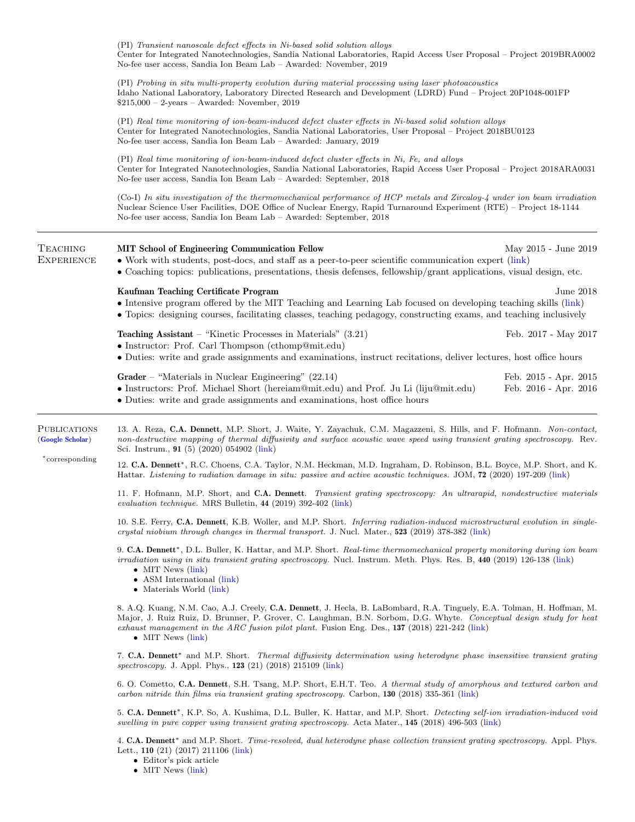|                                                                                                                                                                                                                                                                                          | (PI) Transient nanoscale defect effects in Ni-based solid solution alloys<br>Center for Integrated Nanotechnologies, Sandia National Laboratories, Rapid Access User Proposal – Project 2019BRA0002<br>No-fee user access, Sandia Ion Beam Lab - Awarded: November, 2019                                                                                                                                                                                                                                                                                                                                                                                                                                                                                                                                                                                                                                                                                                                                                                                                                                                                                                              |  |  |
|------------------------------------------------------------------------------------------------------------------------------------------------------------------------------------------------------------------------------------------------------------------------------------------|---------------------------------------------------------------------------------------------------------------------------------------------------------------------------------------------------------------------------------------------------------------------------------------------------------------------------------------------------------------------------------------------------------------------------------------------------------------------------------------------------------------------------------------------------------------------------------------------------------------------------------------------------------------------------------------------------------------------------------------------------------------------------------------------------------------------------------------------------------------------------------------------------------------------------------------------------------------------------------------------------------------------------------------------------------------------------------------------------------------------------------------------------------------------------------------|--|--|
|                                                                                                                                                                                                                                                                                          | (PI) Probing in situ multi-property evolution during material processing using laser photoacoustics<br>Idaho National Laboratory, Laboratory Directed Research and Development (LDRD) Fund – Project 20P1048-001FP<br>$$215,000 - 2$ -years – Awarded: November, 2019<br>(PI) Real time monitoring of ion-beam-induced defect cluster effects in Ni-based solid solution alloys<br>Center for Integrated Nanotechnologies, Sandia National Laboratories, User Proposal – Project 2018BU0123<br>No-fee user access, Sandia Ion Beam Lab – Awarded: January, 2019<br>(PI) Real time monitoring of ion-beam-induced defect cluster effects in Ni, Fe, and alloys<br>Center for Integrated Nanotechnologies, Sandia National Laboratories, Rapid Access User Proposal – Project 2018ARA0031<br>No-fee user access, Sandia Ion Beam Lab - Awarded: September, 2018<br>(Co-I) In situ investigation of the thermomechanical performance of HCP metals and Zircaloy-4 under ion beam irradiation<br>Nuclear Science User Facilities, DOE Office of Nuclear Energy, Rapid Turnaround Experiment (RTE) – Project 18-1144<br>No-fee user access, Sandia Ion Beam Lab – Awarded: September, 2018 |  |  |
|                                                                                                                                                                                                                                                                                          |                                                                                                                                                                                                                                                                                                                                                                                                                                                                                                                                                                                                                                                                                                                                                                                                                                                                                                                                                                                                                                                                                                                                                                                       |  |  |
|                                                                                                                                                                                                                                                                                          |                                                                                                                                                                                                                                                                                                                                                                                                                                                                                                                                                                                                                                                                                                                                                                                                                                                                                                                                                                                                                                                                                                                                                                                       |  |  |
|                                                                                                                                                                                                                                                                                          |                                                                                                                                                                                                                                                                                                                                                                                                                                                                                                                                                                                                                                                                                                                                                                                                                                                                                                                                                                                                                                                                                                                                                                                       |  |  |
| Kaufman Teaching Certificate Program<br>June 2018<br>• Intensive program offered by the MIT Teaching and Learning Lab focused on developing teaching skills (link)<br>• Topics: designing courses, facilitating classes, teaching pedagogy, constructing exams, and teaching inclusively |                                                                                                                                                                                                                                                                                                                                                                                                                                                                                                                                                                                                                                                                                                                                                                                                                                                                                                                                                                                                                                                                                                                                                                                       |  |  |
| <b>Teaching Assistant</b> – "Kinetic Processes in Materials" $(3.21)$<br>Feb. 2017 - May 2017<br>• Instructor: Prof. Carl Thompson (cthomp@mit.edu)<br>• Duties: write and grade assignments and examinations, instruct recitations, deliver lectures, host office hours                 |                                                                                                                                                                                                                                                                                                                                                                                                                                                                                                                                                                                                                                                                                                                                                                                                                                                                                                                                                                                                                                                                                                                                                                                       |  |  |
| Grader – "Materials in Nuclear Engineering" $(22.14)$<br>Feb. 2015 - Apr. 2015<br>• Instructors: Prof. Michael Short (hereiam@mit.edu) and Prof. Ju Li (liju@mit.edu)<br>Feb. 2016 - Apr. 2016<br>• Duties: write and grade assignments and examinations, host office hours              |                                                                                                                                                                                                                                                                                                                                                                                                                                                                                                                                                                                                                                                                                                                                                                                                                                                                                                                                                                                                                                                                                                                                                                                       |  |  |
| <b>PUBLICATIONS</b><br>(Google Scholar)<br>*corresponding                                                                                                                                                                                                                                | 13. A. Reza, C.A. Dennett, M.P. Short, J. Waite, Y. Zayachuk, C.M. Magazzeni, S. Hills, and F. Hofmann. Non-contact,<br>non-destructive mapping of thermal diffusivity and surface acoustic wave speed using transient grating spectroscopy. Rev.<br>Sci. Instrum., $91(5)(2020)054902$ (link)                                                                                                                                                                                                                                                                                                                                                                                                                                                                                                                                                                                                                                                                                                                                                                                                                                                                                        |  |  |
|                                                                                                                                                                                                                                                                                          | 12. C.A. Dennett*, R.C. Choens, C.A. Taylor, N.M. Heckman, M.D. Ingraham, D. Robinson, B.L. Boyce, M.P. Short, and K.<br>Hattar. Listening to radiation damage in situ: passive and active acoustic techniques. JOM, 72 (2020) 197-209 (link)                                                                                                                                                                                                                                                                                                                                                                                                                                                                                                                                                                                                                                                                                                                                                                                                                                                                                                                                         |  |  |
|                                                                                                                                                                                                                                                                                          | 11. F. Hofmann, M.P. Short, and C.A. Dennett. Transient grating spectroscopy: An ultrarapid, nondestructive materials<br>evaluation technique. MRS Bulletin, 44 (2019) 392-402 (link)                                                                                                                                                                                                                                                                                                                                                                                                                                                                                                                                                                                                                                                                                                                                                                                                                                                                                                                                                                                                 |  |  |
|                                                                                                                                                                                                                                                                                          | 10. S.E. Ferry, C.A. Dennett, K.B. Woller, and M.P. Short. Inferring radiation-induced microstructural evolution in single-<br>crystal niobium through changes in thermal transport. J. Nucl. Mater., 523 (2019) 378-382 (link)                                                                                                                                                                                                                                                                                                                                                                                                                                                                                                                                                                                                                                                                                                                                                                                                                                                                                                                                                       |  |  |
|                                                                                                                                                                                                                                                                                          | 9. C.A. Dennett*, D.L. Buller, K. Hattar, and M.P. Short. Real-time thermomechanical property monitoring during ion beam<br><i>irradiation using in situ transient grating spectroscopy.</i> Nucl. Instrum. Meth. Phys. Res. B, 440 (2019) 126-138 (link)<br>• MIT News $(\text{link})$<br>• ASM International $(\text{link})$<br>• Materials World (link)                                                                                                                                                                                                                                                                                                                                                                                                                                                                                                                                                                                                                                                                                                                                                                                                                            |  |  |
|                                                                                                                                                                                                                                                                                          | 8. A.Q. Kuang, N.M. Cao, A.J. Creely, C.A. Dennett, J. Hecla, B. LaBombard, R.A. Tinguely, E.A. Tolman, H. Hoffman, M.<br>Major, J. Ruiz Ruiz, D. Brunner, P. Grover, C. Laughman, B.N. Sorbom, D.G. Whyte. Conceptual design study for heat<br>exhaust management in the ARC fusion pilot plant. Fusion Eng. Des., 137 (2018) 221-242 (link)<br>$\bullet$ MIT News (link)                                                                                                                                                                                                                                                                                                                                                                                                                                                                                                                                                                                                                                                                                                                                                                                                            |  |  |
|                                                                                                                                                                                                                                                                                          | 7. C.A. Dennett <sup>*</sup> and M.P. Short. <i>Thermal diffusivity determination using heterodyne phase insensitive transient grating</i><br>spectroscopy. J. Appl. Phys., $123$ (21) (2018) 215109 (link)                                                                                                                                                                                                                                                                                                                                                                                                                                                                                                                                                                                                                                                                                                                                                                                                                                                                                                                                                                           |  |  |
|                                                                                                                                                                                                                                                                                          | 6. O. Cometto, C.A. Dennett, S.H. Tsang, M.P. Short, E.H.T. Teo. A thermal study of amorphous and textured carbon and<br>carbon nitride thin films via transient grating spectroscopy. Carbon, 130 (2018) 335-361 (link)                                                                                                                                                                                                                                                                                                                                                                                                                                                                                                                                                                                                                                                                                                                                                                                                                                                                                                                                                              |  |  |
|                                                                                                                                                                                                                                                                                          | 5. C.A. Dennett*, K.P. So, A. Kushima, D.L. Buller, K. Hattar, and M.P. Short. Detecting self-ion irradiation-induced void<br>swelling in pure copper using transient grating spectroscopy. Acta Mater., 145 (2018) 496-503 (link)                                                                                                                                                                                                                                                                                                                                                                                                                                                                                                                                                                                                                                                                                                                                                                                                                                                                                                                                                    |  |  |
|                                                                                                                                                                                                                                                                                          | 4. C.A. Dennett <sup>*</sup> and M.P. Short. <i>Time-resolved, dual heterodyne phase collection transient qrating spectroscopy.</i> Appl. Phys.                                                                                                                                                                                                                                                                                                                                                                                                                                                                                                                                                                                                                                                                                                                                                                                                                                                                                                                                                                                                                                       |  |  |

- Lett., 110 (21) (2017) 211106 [\(link\)](https://doi.org/10.1063/1.4983716)
	- Editor's pick article

• MIT News [\(link\)](http://news.mit.edu/2017/method-real-time-monitoring-materials-during-irradiation-0530)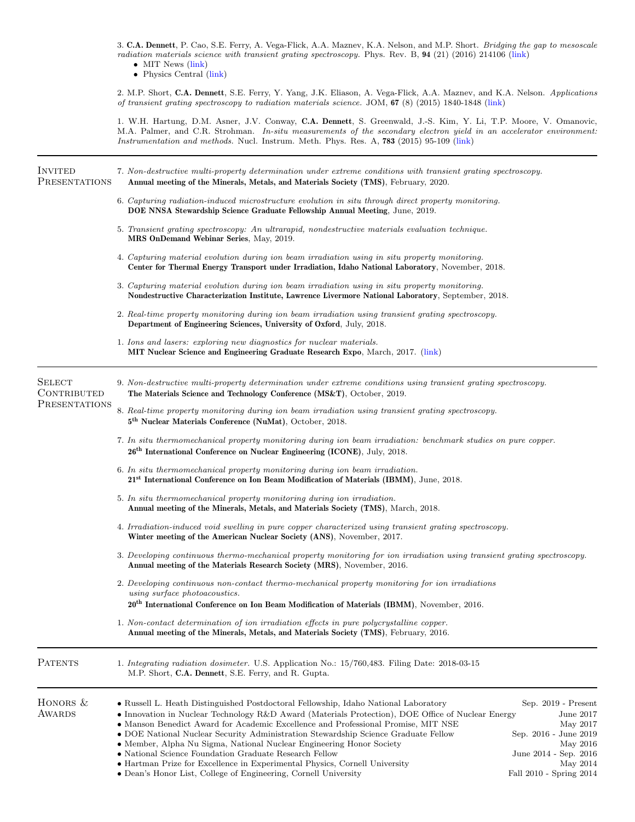3. C.A. Dennett, P. Cao, S.E. Ferry, A. Vega-Flick, A.A. Maznev, K.A. Nelson, and M.P. Short. Bridging the gap to mesoscale radiation materials science with transient grating spectroscopy. Phys. Rev. B, 94 (21) (2016) 214106 [\(link\)](https://doi.org/10.1103/PhysRevB.94.214106)

• MIT News [\(link\)](http://news.mit.edu/2016/measuring-radiation-damage-real-time-1213)

• Physics Central [\(link\)](http://physicsbuzz.physicscentral.com/2016/11/towards-safer-better-nuclear-energy.html)

2. M.P. Short, C.A. Dennett, S.E. Ferry, Y. Yang, J.K. Eliason, A. Vega-Flick, A.A. Maznev, and K.A. Nelson. Applications of transient grating spectroscopy to radiation materials science. JOM, 67 (8) (2015) 1840-1848 [\(link\)](https://doi.org/10.1007/s11837-015-1496-3)

1. W.H. Hartung, D.M. Asner, J.V. Conway, C.A. Dennett, S. Greenwald, J.-S. Kim, Y. Li, T.P. Moore, V. Omanovic, M.A. Palmer, and C.R. Strohman. In-situ measurements of the secondary electron yield in an accelerator environment: Instrumentation and methods. Nucl. Instrum. Meth. Phys. Res. A, 783 (2015) 95-109 [\(link\)](https://doi.org/10.1016/j.nima.2015.01.092)

| <b>INVITED</b><br><b>PRESENTATIONS</b>                                                                                                                                                                                                      | 7. Non-destructive multi-property determination under extreme conditions with transient grating spectroscopy.<br>Annual meeting of the Minerals, Metals, and Materials Society (TMS), February, 2020.                                                                                                                                                                                                                                                                                                                                                                                                                                                                                                                                                                                                       |                                                                                                                                                                                               |  |
|---------------------------------------------------------------------------------------------------------------------------------------------------------------------------------------------------------------------------------------------|-------------------------------------------------------------------------------------------------------------------------------------------------------------------------------------------------------------------------------------------------------------------------------------------------------------------------------------------------------------------------------------------------------------------------------------------------------------------------------------------------------------------------------------------------------------------------------------------------------------------------------------------------------------------------------------------------------------------------------------------------------------------------------------------------------------|-----------------------------------------------------------------------------------------------------------------------------------------------------------------------------------------------|--|
|                                                                                                                                                                                                                                             | 6. Capturing radiation-induced microstructure evolution in situ through direct property monitoring.<br>DOE NNSA Stewardship Science Graduate Fellowship Annual Meeting, June, 2019.<br>5. Transient grating spectroscopy: An ultrarapid, nondestructive materials evaluation technique.<br>MRS OnDemand Webinar Series, May, 2019.                                                                                                                                                                                                                                                                                                                                                                                                                                                                          |                                                                                                                                                                                               |  |
|                                                                                                                                                                                                                                             |                                                                                                                                                                                                                                                                                                                                                                                                                                                                                                                                                                                                                                                                                                                                                                                                             |                                                                                                                                                                                               |  |
|                                                                                                                                                                                                                                             | 1. Ions and lasers: exploring new diagnostics for nuclear materials.<br>MIT Nuclear Science and Engineering Graduate Research Expo, March, 2017. (link)                                                                                                                                                                                                                                                                                                                                                                                                                                                                                                                                                                                                                                                     |                                                                                                                                                                                               |  |
|                                                                                                                                                                                                                                             | <b>SELECT</b><br>CONTRIBUTED<br>PRESENTATIONS                                                                                                                                                                                                                                                                                                                                                                                                                                                                                                                                                                                                                                                                                                                                                               | 9. Non-destructive multi-property determination under extreme conditions using transient grating spectroscopy.<br>The Materials Science and Technology Conference (MS&T), October, 2019.      |  |
|                                                                                                                                                                                                                                             |                                                                                                                                                                                                                                                                                                                                                                                                                                                                                                                                                                                                                                                                                                                                                                                                             | 8. Real-time property monitoring during ion beam irradiation using transient grating spectroscopy.<br>5 <sup>th</sup> Nuclear Materials Conference (NuMat), October, 2018.                    |  |
|                                                                                                                                                                                                                                             |                                                                                                                                                                                                                                                                                                                                                                                                                                                                                                                                                                                                                                                                                                                                                                                                             | 7. In situ thermomechanical property monitoring during ion beam irradiation: benchmark studies on pure copper.<br>$26th$ International Conference on Nuclear Engineering (ICONE), July, 2018. |  |
| 6. In situ thermomechanical property monitoring during ion beam irradiation.<br>21 <sup>st</sup> International Conference on Ion Beam Modification of Materials (IBMM), June, 2018.                                                         |                                                                                                                                                                                                                                                                                                                                                                                                                                                                                                                                                                                                                                                                                                                                                                                                             |                                                                                                                                                                                               |  |
| 5. In situ thermomechanical property monitoring during ion irradiation.<br>Annual meeting of the Minerals, Metals, and Materials Society (TMS), March, 2018.                                                                                |                                                                                                                                                                                                                                                                                                                                                                                                                                                                                                                                                                                                                                                                                                                                                                                                             |                                                                                                                                                                                               |  |
| 4. Irradiation-induced void swelling in pure copper characterized using transient grating spectroscopy.<br>Winter meeting of the American Nuclear Society (ANS), November, 2017.                                                            |                                                                                                                                                                                                                                                                                                                                                                                                                                                                                                                                                                                                                                                                                                                                                                                                             |                                                                                                                                                                                               |  |
| 3. Developing continuous thermo-mechanical property monitoring for ion irradiation using transient grating spectroscopy.<br>Annual meeting of the Materials Research Society (MRS), November, 2016.                                         |                                                                                                                                                                                                                                                                                                                                                                                                                                                                                                                                                                                                                                                                                                                                                                                                             |                                                                                                                                                                                               |  |
| 2. Developing continuous non-contact thermo-mechanical property monitoring for ion irradiations<br>using surface photoacoustics.<br>20 <sup>th</sup> International Conference on Ion Beam Modification of Materials (IBMM), November, 2016. |                                                                                                                                                                                                                                                                                                                                                                                                                                                                                                                                                                                                                                                                                                                                                                                                             |                                                                                                                                                                                               |  |
| 1. Non-contact determination of ion irradiation effects in pure polycrystalline copper.<br>Annual meeting of the Minerals, Metals, and Materials Society (TMS), February, 2016.                                                             |                                                                                                                                                                                                                                                                                                                                                                                                                                                                                                                                                                                                                                                                                                                                                                                                             |                                                                                                                                                                                               |  |
| <b>PATENTS</b>                                                                                                                                                                                                                              | 1. Integrating radiation dosimeter. U.S. Application No.: 15/760,483. Filing Date: 2018-03-15<br>M.P. Short, C.A. Dennett, S.E. Ferry, and R. Gupta.                                                                                                                                                                                                                                                                                                                                                                                                                                                                                                                                                                                                                                                        |                                                                                                                                                                                               |  |
| HONORS &<br><b>AWARDS</b>                                                                                                                                                                                                                   | Sep. 2019 - Present<br>• Russell L. Heath Distinguished Postdoctoral Fellowship, Idaho National Laboratory<br>• Innovation in Nuclear Technology R&D Award (Materials Protection), DOE Office of Nuclear Energy<br>June 2017<br>• Manson Benedict Award for Academic Excellence and Professional Promise, MIT NSE<br>May 2017<br>• DOE National Nuclear Security Administration Stewardship Science Graduate Fellow<br>Sep. 2016 - June 2019<br>• Member, Alpha Nu Sigma, National Nuclear Engineering Honor Society<br>May 2016<br>• National Science Foundation Graduate Research Fellow<br>June 2014 - Sep. 2016<br>• Hartman Prize for Excellence in Experimental Physics, Cornell University<br>May 2014<br>• Dean's Honor List, College of Engineering, Cornell University<br>Fall 2010 - Spring 2014 |                                                                                                                                                                                               |  |